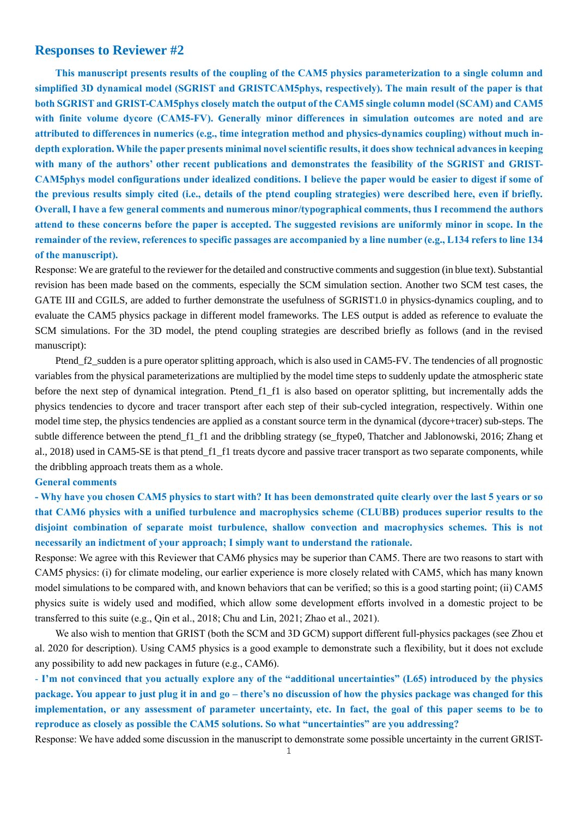## **Responses to Reviewer #2**

**This manuscript presents results of the coupling of the CAM5 physics parameterization to a single column and simplified 3D dynamical model (SGRIST and GRISTCAM5phys, respectively). The main result of the paper is that both SGRIST and GRIST-CAM5phys closely match the output of the CAM5 single column model (SCAM) and CAM5 with finite volume dycore (CAM5-FV). Generally minor differences in simulation outcomes are noted and are attributed to differences in numerics (e.g., time integration method and physics-dynamics coupling) without much indepth exploration. While the paper presents minimal novel scientific results, it does show technical advances in keeping with many of the authors' other recent publications and demonstrates the feasibility of the SGRIST and GRIST-CAM5phys model configurations under idealized conditions. I believe the paper would be easier to digest if some of the previous results simply cited (i.e., details of the ptend coupling strategies) were described here, even if briefly. Overall, I have a few general comments and numerous minor/typographical comments, thus I recommend the authors attend to these concerns before the paper is accepted. The suggested revisions are uniformly minor in scope. In the remainder of the review, references to specific passages are accompanied by a line number (e.g., L134 refers to line 134 of the manuscript).**

Response: We are grateful to the reviewer for the detailed and constructive comments and suggestion (in blue text). Substantial revision has been made based on the comments, especially the SCM simulation section. Another two SCM test cases, the GATE III and CGILS, are added to further demonstrate the usefulness of SGRIST1.0 in physics-dynamics coupling, and to evaluate the CAM5 physics package in different model frameworks. The LES output is added as reference to evaluate the SCM simulations. For the 3D model, the ptend coupling strategies are described briefly as follows (and in the revised manuscript):

Ptend f2 sudden is a pure operator splitting approach, which is also used in CAM5-FV. The tendencies of all prognostic variables from the physical parameterizations are multiplied by the model time steps to suddenly update the atmospheric state before the next step of dynamical integration. Ptend\_f1\_f1 is also based on operator splitting, but incrementally adds the physics tendencies to dycore and tracer transport after each step of their sub-cycled integration, respectively. Within one model time step, the physics tendencies are applied as a constant source term in the dynamical (dycore+tracer) sub-steps. The subtle difference between the ptend f1 f1 and the dribbling strategy (se ftype0, Thatcher and Jablonowski, 2016; Zhang et al., 2018) used in CAM5-SE is that ptend\_f1\_f1 treats dycore and passive tracer transport as two separate components, while the dribbling approach treats them as a whole.

### **General comments**

**- Why have you chosen CAM5 physics to start with? It has been demonstrated quite clearly over the last 5 years or so that CAM6 physics with a unified turbulence and macrophysics scheme (CLUBB) produces superior results to the disjoint combination of separate moist turbulence, shallow convection and macrophysics schemes. This is not necessarily an indictment of your approach; I simply want to understand the rationale.**

Response: We agree with this Reviewer that CAM6 physics may be superior than CAM5. There are two reasons to start with CAM5 physics: (i) for climate modeling, our earlier experience is more closely related with CAM5, which has many known model simulations to be compared with, and known behaviors that can be verified; so this is a good starting point; (ii) CAM5 physics suite is widely used and modified, which allow some development efforts involved in a domestic project to be transferred to this suite (e.g., Qin et al., 2018; Chu and Lin, 2021; Zhao et al., 2021).

We also wish to mention that GRIST (both the SCM and 3D GCM) support different full-physics packages (see Zhou et al. 2020 for description). Using CAM5 physics is a good example to demonstrate such a flexibility, but it does not exclude any possibility to add new packages in future (e.g., CAM6).

- **I'm not convinced that you actually explore any of the "additional uncertainties" (L65) introduced by the physics package. You appear to just plug it in and go – there's no discussion of how the physics package was changed for this implementation, or any assessment of parameter uncertainty, etc. In fact, the goal of this paper seems to be to reproduce as closely as possible the CAM5 solutions. So what "uncertainties" are you addressing?**

Response: We have added some discussion in the manuscript to demonstrate some possible uncertainty in the current GRIST-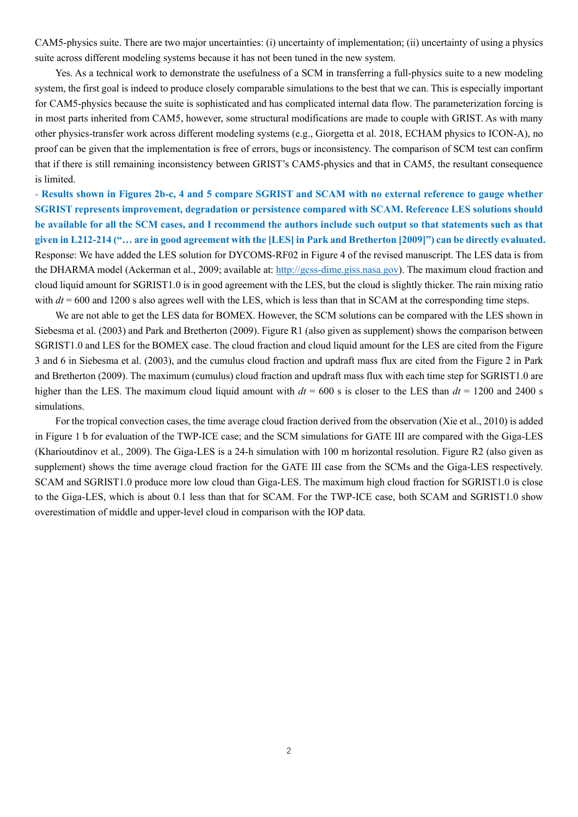CAM5-physics suite. There are two major uncertainties: (i) uncertainty of implementation; (ii) uncertainty of using a physics suite across different modeling systems because it has not been tuned in the new system.

Yes. As a technical work to demonstrate the usefulness of a SCM in transferring a full-physics suite to a new modeling system, the first goal is indeed to produce closely comparable simulations to the best that we can. This is especially important for CAM5-physics because the suite is sophisticated and has complicated internal data flow. The parameterization forcing is in most parts inherited from CAM5, however, some structural modifications are made to couple with GRIST. As with many other physics-transfer work across different modeling systems (e.g., Giorgetta et al. 2018, ECHAM physics to ICON-A), no proof can be given that the implementation is free of errors, bugs or inconsistency. The comparison of SCM test can confirm that if there is still remaining inconsistency between GRIST's CAM5-physics and that in CAM5, the resultant consequence is limited.

- **Results shown in Figures 2b-c, 4 and 5 compare SGRIST and SCAM with no external reference to gauge whether SGRIST represents improvement, degradation or persistence compared with SCAM. Reference LES solutions should be available for all the SCM cases, and I recommend the authors include such output so that statements such as that given in L212-214 ("… are in good agreement with the [LES] in Park and Bretherton [2009]") can be directly evaluated.** Response: We have added the LES solution for DYCOMS-RF02 in Figure 4 of the revised manuscript. The LES data is from the DHARMA model (Ackerman et al., 2009; available at: [http://gcss-dime.giss.nasa.gov\)](http://gcss-dime.giss.nasa.gov/). The maximum cloud fraction and cloud liquid amount for SGRIST1.0 is in good agreement with the LES, but the cloud is slightly thicker. The rain mixing ratio with  $dt = 600$  and 1200 s also agrees well with the LES, which is less than that in SCAM at the corresponding time steps.

We are not able to get the LES data for BOMEX. However, the SCM solutions can be compared with the LES shown in Siebesma et al. (2003) and Park and Bretherton (2009). Figure R1 (also given as supplement) shows the comparison between SGRIST1.0 and LES for the BOMEX case. The cloud fraction and cloud liquid amount for the LES are cited from the Figure 3 and 6 in Siebesma et al. (2003), and the cumulus cloud fraction and updraft mass flux are cited from the Figure 2 in Park and Bretherton (2009). The maximum (cumulus) cloud fraction and updraft mass flux with each time step for SGRIST1.0 are higher than the LES. The maximum cloud liquid amount with  $dt = 600$  s is closer to the LES than  $dt = 1200$  and 2400 s simulations.

For the tropical convection cases, the time average cloud fraction derived from the observation (Xie et al., 2010) is added in Figure 1 b for evaluation of the TWP-ICE case; and the SCM simulations for GATE III are compared with the Giga-LES (Kharioutdinov et al., 2009). The Giga-LES is a 24-h simulation with 100 m horizontal resolution. Figure R2 (also given as supplement) shows the time average cloud fraction for the GATE III case from the SCMs and the Giga-LES respectively. SCAM and SGRIST1.0 produce more low cloud than Giga-LES. The maximum high cloud fraction for SGRIST1.0 is close to the Giga-LES, which is about 0.1 less than that for SCAM. For the TWP-ICE case, both SCAM and SGRIST1.0 show overestimation of middle and upper-level cloud in comparison with the IOP data.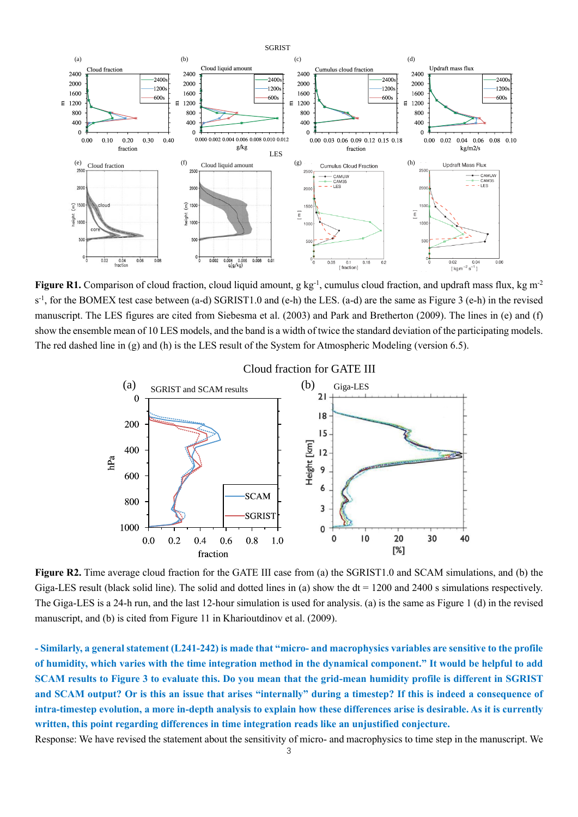

Figure R1. Comparison of cloud fraction, cloud liquid amount, g kg<sup>-1</sup>, cumulus cloud fraction, and updraft mass flux, kg m<sup>-2</sup> s<sup>-1</sup>, for the BOMEX test case between (a-d) SGRIST1.0 and (e-h) the LES. (a-d) are the same as Figure 3 (e-h) in the revised manuscript. The LES figures are cited from Siebesma et al. (2003) and Park and Bretherton (2009). The lines in (e) and (f) show the ensemble mean of 10 LES models, and the band is a width of twice the standard deviation of the participating models. The red dashed line in (g) and (h) is the LES result of the System for Atmospheric Modeling (version 6.5).



**Figure R2.** Time average cloud fraction for the GATE III case from (a) the SGRIST1.0 and SCAM simulations, and (b) the Giga-LES result (black solid line). The solid and dotted lines in (a) show the  $dt = 1200$  and 2400 s simulations respectively. The Giga-LES is a 24-h run, and the last 12-hour simulation is used for analysis. (a) is the same as Figure 1 (d) in the revised manuscript, and (b) is cited from Figure 11 in Kharioutdinov et al. (2009).

**- Similarly, a general statement (L241-242) is made that "micro- and macrophysics variables are sensitive to the profile of humidity, which varies with the time integration method in the dynamical component." It would be helpful to add SCAM results to Figure 3 to evaluate this. Do you mean that the grid-mean humidity profile is different in SGRIST and SCAM output? Or is this an issue that arises "internally" during a timestep? If this is indeed a consequence of intra-timestep evolution, a more in-depth analysis to explain how these differences arise is desirable. As it is currently written, this point regarding differences in time integration reads like an unjustified conjecture.**

Response: We have revised the statement about the sensitivity of micro- and macrophysics to time step in the manuscript. We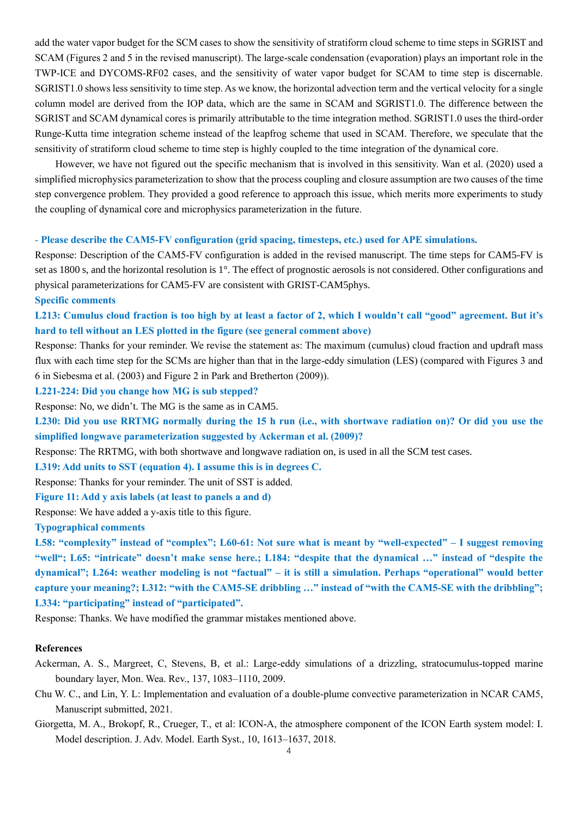add the water vapor budget for the SCM cases to show the sensitivity of stratiform cloud scheme to time steps in SGRIST and SCAM (Figures 2 and 5 in the revised manuscript). The large-scale condensation (evaporation) plays an important role in the TWP-ICE and DYCOMS-RF02 cases, and the sensitivity of water vapor budget for SCAM to time step is discernable. SGRIST1.0 shows less sensitivity to time step. As we know, the horizontal advection term and the vertical velocity for a single column model are derived from the IOP data, which are the same in SCAM and SGRIST1.0. The difference between the SGRIST and SCAM dynamical cores is primarily attributable to the time integration method. SGRIST1.0 uses the third-order Runge-Kutta time integration scheme instead of the leapfrog scheme that used in SCAM. Therefore, we speculate that the sensitivity of stratiform cloud scheme to time step is highly coupled to the time integration of the dynamical core.

However, we have not figured out the specific mechanism that is involved in this sensitivity. Wan et al. (2020) used a simplified microphysics parameterization to show that the process coupling and closure assumption are two causes of the time step convergence problem. They provided a good reference to approach this issue, which merits more experiments to study the coupling of dynamical core and microphysics parameterization in the future.

### - **Please describe the CAM5-FV configuration (grid spacing, timesteps, etc.) used for APE simulations.**

Response: Description of the CAM5-FV configuration is added in the revised manuscript. The time steps for CAM5-FV is set as 1800 s, and the horizontal resolution is 1°. The effect of prognostic aerosols is not considered. Other configurations and physical parameterizations for CAM5-FV are consistent with GRIST-CAM5phys.

### **Specific comments**

# **L213: Cumulus cloud fraction is too high by at least a factor of 2, which I wouldn't call "good" agreement. But it's hard to tell without an LES plotted in the figure (see general comment above)**

Response: Thanks for your reminder. We revise the statement as: The maximum (cumulus) cloud fraction and updraft mass flux with each time step for the SCMs are higher than that in the large-eddy simulation (LES) (compared with Figures 3 and 6 in Siebesma et al. (2003) and Figure 2 in Park and Bretherton (2009)).

### **L221-224: Did you change how MG is sub stepped?**

Response: No, we didn't. The MG is the same as in CAM5.

**L230: Did you use RRTMG normally during the 15 h run (i.e., with shortwave radiation on)? Or did you use the simplified longwave parameterization suggested by Ackerman et al. (2009)?**

Response: The RRTMG, with both shortwave and longwave radiation on, is used in all the SCM test cases.

**L319: Add units to SST (equation 4). I assume this is in degrees C.**

Response: Thanks for your reminder. The unit of SST is added.

## **Figure 11: Add y axis labels (at least to panels a and d)**

Response: We have added a y-axis title to this figure.

## **Typographical comments**

**L58: "complexity" instead of "complex"; L60-61: Not sure what is meant by "well-expected" – I suggest removing "well"; L65: "intricate" doesn't make sense here.; L184: "despite that the dynamical …" instead of "despite the dynamical"; L264: weather modeling is not "factual" – it is still a simulation. Perhaps "operational" would better capture your meaning?; L312: "with the CAM5-SE dribbling …" instead of "with the CAM5-SE with the dribbling"; L334: "participating" instead of "participated".**

Response: Thanks. We have modified the grammar mistakes mentioned above.

## **References**

Ackerman, A. S., Margreet, C, Stevens, B, et al.: Large-eddy simulations of a drizzling, stratocumulus-topped marine boundary layer, Mon. Wea. Rev., 137, 1083–1110, 2009.

- Chu W. C., and Lin, Y. L: Implementation and evaluation of a double-plume convective parameterization in NCAR CAM5, Manuscript submitted, 2021.
- Giorgetta, M. A., Brokopf, R., Crueger, T., et al: ICON-A, the atmosphere component of the ICON Earth system model: I. Model description. J. Adv. Model. Earth Syst., 10, 1613–1637, 2018.